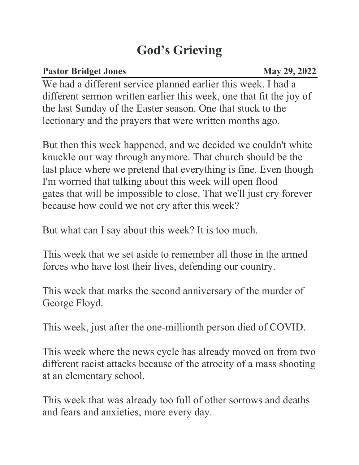## **God's Grieving**

## **Pastor Bridget Jones** May 29, 2022

We had a different service planned earlier this week. I had a different sermon written earlier this week, one that fit the joy of the last Sunday of the Easter season. One that stuck to the lectionary and the prayers that were written months ago.

But then this week happened, and we decided we couldn't white knuckle our way through anymore. That church should be the last place where we pretend that everything is fine. Even though I'm worried that talking about this week will open flood gates that will be impossible to close. That we'll just cry forever because how could we not cry after this week?

But what can I say about this week? It is too much.

This week that we set aside to remember all those in the armed forces who have lost their lives, defending our country.

This week that marks the second anniversary of the murder of George Floyd.

This week, just after the one-millionth person died of COVID.

This week where the news cycle has already moved on from two different racist attacks because of the atrocity of a mass shooting at an elementary school.

This week that was already too full of other sorrows and deaths and fears and anxieties, more every day.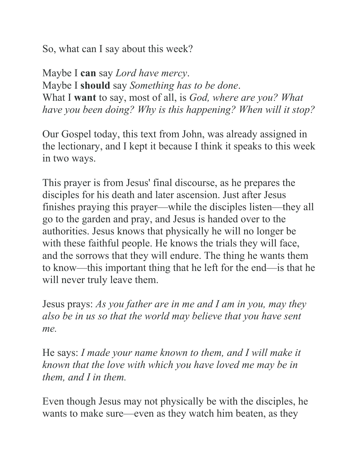So, what can I say about this week?

Maybe I **can** say *Lord have mercy*. Maybe I **should** say *Something has to be done*. What I **want** to say, most of all, is *God, where are you? What have you been doing? Why is this happening? When will it stop?*

Our Gospel today, this text from John, was already assigned in the lectionary, and I kept it because I think it speaks to this week in two ways.

This prayer is from Jesus' final discourse, as he prepares the disciples for his death and later ascension. Just after Jesus finishes praying this prayer—while the disciples listen—they all go to the garden and pray, and Jesus is handed over to the authorities. Jesus knows that physically he will no longer be with these faithful people. He knows the trials they will face, and the sorrows that they will endure. The thing he wants them to know—this important thing that he left for the end—is that he will never truly leave them.

Jesus prays: *As you father are in me and I am in you, may they also be in us so that the world may believe that you have sent me.*

He says: *I made your name known to them, and I will make it known that the love with which you have loved me may be in them, and I in them.*

Even though Jesus may not physically be with the disciples, he wants to make sure—even as they watch him beaten, as they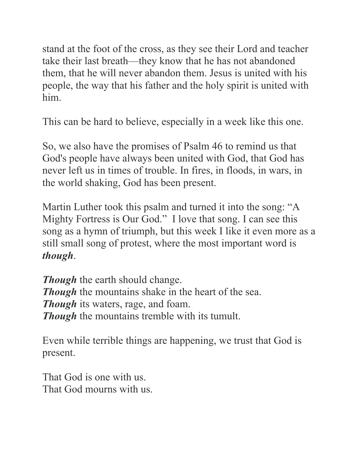stand at the foot of the cross, as they see their Lord and teacher take their last breath—they know that he has not abandoned them, that he will never abandon them. Jesus is united with his people, the way that his father and the holy spirit is united with him.

This can be hard to believe, especially in a week like this one.

So, we also have the promises of Psalm 46 to remind us that God's people have always been united with God, that God has never left us in times of trouble. In fires, in floods, in wars, in the world shaking, God has been present.

Martin Luther took this psalm and turned it into the song: "A Mighty Fortress is Our God." I love that song. I can see this song as a hymn of triumph, but this week I like it even more as a still small song of protest, where the most important word is *though*.

*Though* the earth should change. *Though* the mountains shake in the heart of the sea. *Though* its waters, rage, and foam. *Though* the mountains tremble with its tumult.

Even while terrible things are happening, we trust that God is present.

That God is one with us. That God mourns with us.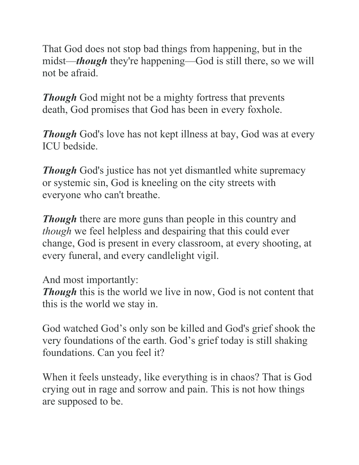That God does not stop bad things from happening, but in the midst—*though* they're happening—God is still there, so we will not be afraid.

*Though* God might not be a mighty fortress that prevents death, God promises that God has been in every foxhole.

*Though* God's love has not kept illness at bay, God was at every ICU bedside.

*Though* God's justice has not yet dismantled white supremacy or systemic sin, God is kneeling on the city streets with everyone who can't breathe.

*Though* there are more guns than people in this country and *though* we feel helpless and despairing that this could ever change, God is present in every classroom, at every shooting, at every funeral, and every candlelight vigil.

And most importantly:

**Though** this is the world we live in now, God is not content that this is the world we stay in.

God watched God's only son be killed and God's grief shook the very foundations of the earth. God's grief today is still shaking foundations. Can you feel it?

When it feels unsteady, like everything is in chaos? That is God crying out in rage and sorrow and pain. This is not how things are supposed to be.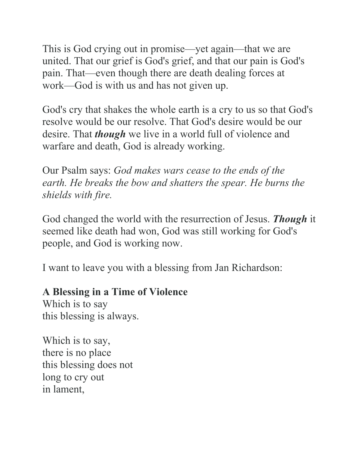This is God crying out in promise—yet again—that we are united. That our grief is God's grief, and that our pain is God's pain. That—even though there are death dealing forces at work—God is with us and has not given up.

God's cry that shakes the whole earth is a cry to us so that God's resolve would be our resolve. That God's desire would be our desire. That *though* we live in a world full of violence and warfare and death, God is already working.

Our Psalm says: *God makes wars cease to the ends of the earth. He breaks the bow and shatters the spear. He burns the shields with fire.*

God changed the world with the resurrection of Jesus. *Though* it seemed like death had won, God was still working for God's people, and God is working now.

I want to leave you with a blessing from Jan Richardson:

## **A Blessing in a Time of Violence**

Which is to say this blessing is always.

Which is to say, there is no place this blessing does not long to cry out in lament,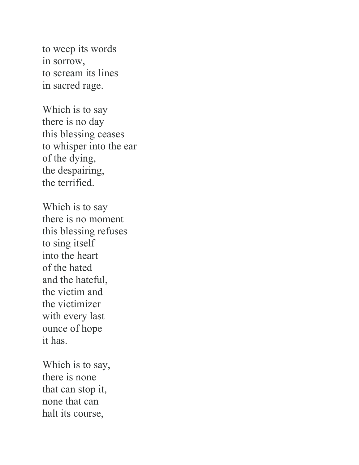to weep its words in sorrow, to scream its lines in sacred rage.

Which is to say there is no day this blessing ceases to whisper into the ear of the dying, the despairing, the terrified.

Which is to say there is no moment this blessing refuses to sing itself into the heart of the hated and the hateful, the victim and the victimizer with every last ounce of hope it has.

Which is to say, there is none that can stop it, none that can halt its course,